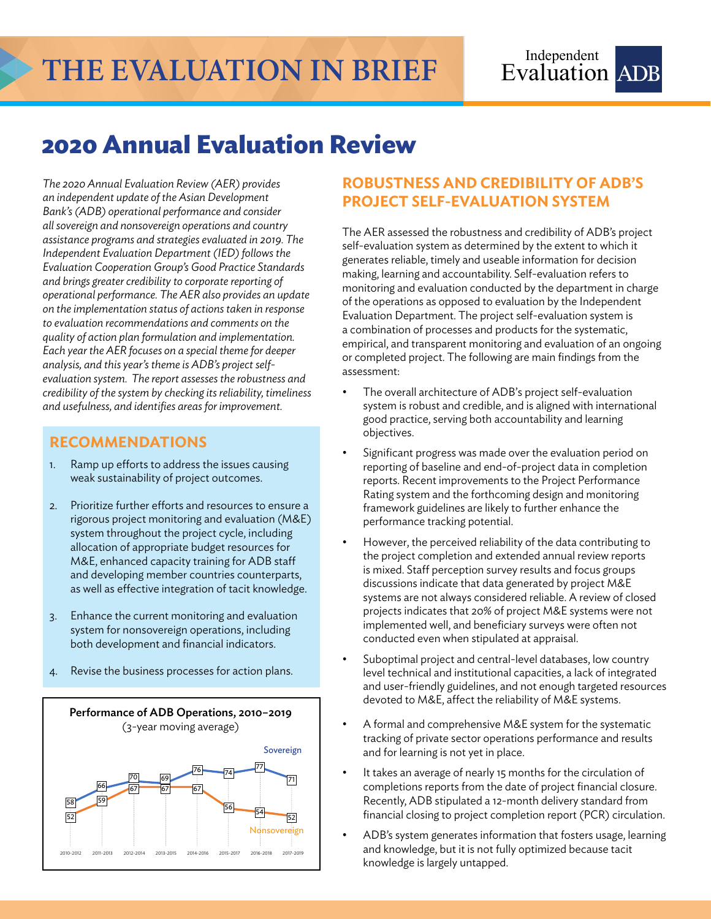# **THE EVALUATION IN BRIEF**

## **2020 Annual Evaluation Review**

*The 2020 Annual Evaluation Review (AER) provides an independent update of the Asian Development Bank's (ADB) operational performance and consider all sovereign and nonsovereign operations and country assistance programs and strategies evaluated in 2019. The Independent Evaluation Department (IED) follows the Evaluation Cooperation Group's Good Practice Standards and brings greater credibility to corporate reporting of operational performance. The AER also provides an update on the implementation status of actions taken in response to evaluation recommendations and comments on the quality of action plan formulation and implementation. Each year the AER focuses on a special theme for deeper analysis, and this year's theme is ADB's project selfevaluation system. The report assesses the robustness and credibility of the system by checking its reliability, timeliness and usefulness, and identifies areas for improvement.* 

#### **RECOMMENDATIONS**

- 1. Ramp up efforts to address the issues causing weak sustainability of project outcomes.
- 2. Prioritize further efforts and resources to ensure a rigorous project monitoring and evaluation (M&E) system throughout the project cycle, including allocation of appropriate budget resources for M&E, enhanced capacity training for ADB staff and developing member countries counterparts, as well as effective integration of tacit knowledge.
- 3. Enhance the current monitoring and evaluation system for nonsovereign operations, including both development and financial indicators.
- 4. Revise the business processes for action plans.



### **ROBUSTNESS AND CREDIBILITY OF ADB'S PROJECT SELF-EVALUATION SYSTEM**

The AER assessed the robustness and credibility of ADB's project self-evaluation system as determined by the extent to which it generates reliable, timely and useable information for decision making, learning and accountability. Self-evaluation refers to monitoring and evaluation conducted by the department in charge of the operations as opposed to evaluation by the Independent Evaluation Department. The project self-evaluation system is a combination of processes and products for the systematic, empirical, and transparent monitoring and evaluation of an ongoing or completed project. The following are main findings from the assessment:

- The overall architecture of ADB's project self-evaluation system is robust and credible, and is aligned with international good practice, serving both accountability and learning objectives.
- Significant progress was made over the evaluation period on reporting of baseline and end-of-project data in completion reports. Recent improvements to the Project Performance Rating system and the forthcoming design and monitoring framework guidelines are likely to further enhance the performance tracking potential.
- However, the perceived reliability of the data contributing to the project completion and extended annual review reports is mixed. Staff perception survey results and focus groups discussions indicate that data generated by project M&E systems are not always considered reliable. A review of closed projects indicates that 20% of project M&E systems were not implemented well, and beneficiary surveys were often not conducted even when stipulated at appraisal.
- Suboptimal project and central-level databases, low country level technical and institutional capacities, a lack of integrated and user-friendly guidelines, and not enough targeted resources devoted to M&E, affect the reliability of M&E systems.
- A formal and comprehensive M&E system for the systematic tracking of private sector operations performance and results and for learning is not yet in place.
- It takes an average of nearly 15 months for the circulation of completions reports from the date of project financial closure. Recently, ADB stipulated a 12-month delivery standard from financial closing to project completion report (PCR) circulation.
- ADB's system generates information that fosters usage, learning and knowledge, but it is not fully optimized because tacit knowledge is largely untapped.